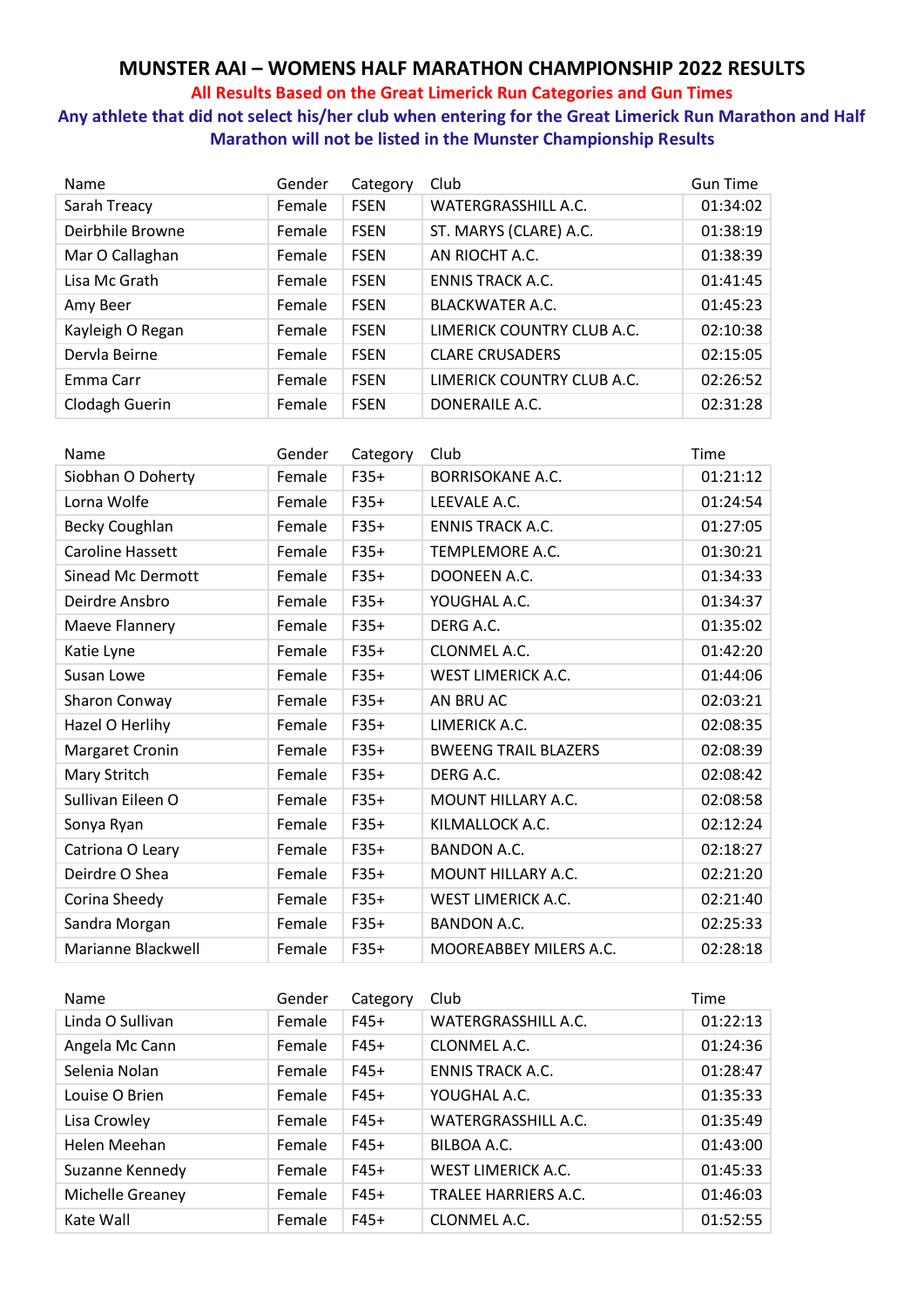# **MUNSTER AAI – WOMENS HALF MARATHON CHAMPIONSHIP 2022 RESULTS**

#### **All Results Based on the Great Limerick Run Categories and Gun Times**

**Any athlete that did not select his/her club when entering for the Great Limerick Run Marathon and Half Marathon will not be listed in the Munster Championship Results**

| Name             | Gender | Category    | Club                       | <b>Gun Time</b> |
|------------------|--------|-------------|----------------------------|-----------------|
| Sarah Treacy     | Female | <b>FSEN</b> | WATERGRASSHILL A.C.        | 01:34:02        |
| Deirbhile Browne | Female | <b>FSEN</b> | ST. MARYS (CLARE) A.C.     | 01:38:19        |
| Mar O Callaghan  | Female | <b>FSEN</b> | AN RIOCHT A.C.             | 01:38:39        |
| Lisa Mc Grath    | Female | <b>FSEN</b> | <b>ENNIS TRACK A.C.</b>    | 01:41:45        |
| Amy Beer         | Female | <b>FSEN</b> | <b>BLACKWATER A.C.</b>     | 01:45:23        |
| Kayleigh O Regan | Female | <b>FSEN</b> | LIMERICK COUNTRY CLUB A.C. | 02:10:38        |
| Dervla Beirne    | Female | <b>FSEN</b> | <b>CLARE CRUSADERS</b>     | 02:15:05        |
| Emma Carr        | Female | <b>FSEN</b> | LIMERICK COUNTRY CLUB A.C. | 02:26:52        |
| Clodagh Guerin   | Female | <b>FSEN</b> | DONERAILE A.C.             | 02:31:28        |

| Name                      | Gender | Category | Club                        | Time     |
|---------------------------|--------|----------|-----------------------------|----------|
| Siobhan O Doherty         | Female | $F35+$   | <b>BORRISOKANE A.C.</b>     | 01:21:12 |
| Lorna Wolfe               | Female | $F35+$   | LEEVALE A.C.                | 01:24:54 |
| <b>Becky Coughlan</b>     | Female | $F35+$   | <b>ENNIS TRACK A.C.</b>     | 01:27:05 |
| <b>Caroline Hassett</b>   | Female | $F35+$   | TEMPLEMORE A.C.             | 01:30:21 |
| <b>Sinead Mc Dermott</b>  | Female | $F35+$   | DOONEEN A.C.                | 01:34:33 |
| Deirdre Ansbro            | Female | $F35+$   | YOUGHAL A.C.                | 01:34:37 |
| Maeve Flannery            | Female | $F35+$   | DERG A.C.                   | 01:35:02 |
| Katie Lyne                | Female | $F35+$   | CLONMEL A.C.                | 01:42:20 |
| Susan Lowe                | Female | $F35+$   | WEST LIMERICK A.C.          | 01:44:06 |
| <b>Sharon Conway</b>      | Female | $F35+$   | AN BRU AC                   | 02:03:21 |
| Hazel O Herlihy           | Female | $F35+$   | LIMERICK A.C.               | 02:08:35 |
| Margaret Cronin           | Female | $F35+$   | <b>BWEENG TRAIL BLAZERS</b> | 02:08:39 |
| Mary Stritch              | Female | $F35+$   | DERG A.C.                   | 02:08:42 |
| Sullivan Eileen O         | Female | $F35+$   | MOUNT HILLARY A.C.          | 02:08:58 |
| Sonya Ryan                | Female | $F35+$   | KILMALLOCK A.C.             | 02:12:24 |
| Catriona O Leary          | Female | $F35+$   | <b>BANDON A.C.</b>          | 02:18:27 |
| Deirdre O Shea            | Female | $F35+$   | <b>MOUNT HILLARY A.C.</b>   | 02:21:20 |
| Corina Sheedy             | Female | $F35+$   | <b>WEST LIMERICK A.C.</b>   | 02:21:40 |
| Sandra Morgan             | Female | $F35+$   | <b>BANDON A.C.</b>          | 02:25:33 |
| <b>Marianne Blackwell</b> | Female | $F35+$   | MOOREABBEY MILERS A.C.      | 02:28:18 |

| Name             | Gender | Category | Club                      | Time     |
|------------------|--------|----------|---------------------------|----------|
| Linda O Sullivan | Female | $F45+$   | WATERGRASSHILL A.C.       | 01:22:13 |
| Angela Mc Cann   | Female | $F45+$   | CLONMEL A.C.              | 01:24:36 |
| Selenia Nolan    | Female | $F45+$   | <b>ENNIS TRACK A.C.</b>   | 01:28:47 |
| Louise O Brien   | Female | $F45+$   | YOUGHAL A.C.              | 01:35:33 |
| Lisa Crowley     | Female | $F45+$   | WATERGRASSHILL A.C.       | 01:35:49 |
| Helen Meehan     | Female | $F45+$   | BILBOA A.C.               | 01:43:00 |
| Suzanne Kennedy  | Female | $F45+$   | <b>WEST LIMERICK A.C.</b> | 01:45:33 |
| Michelle Greaney | Female | $F45+$   | TRALEE HARRIERS A.C.      | 01:46:03 |
| Kate Wall        | Female | $F45+$   | CLONMEL A.C.              | 01:52:55 |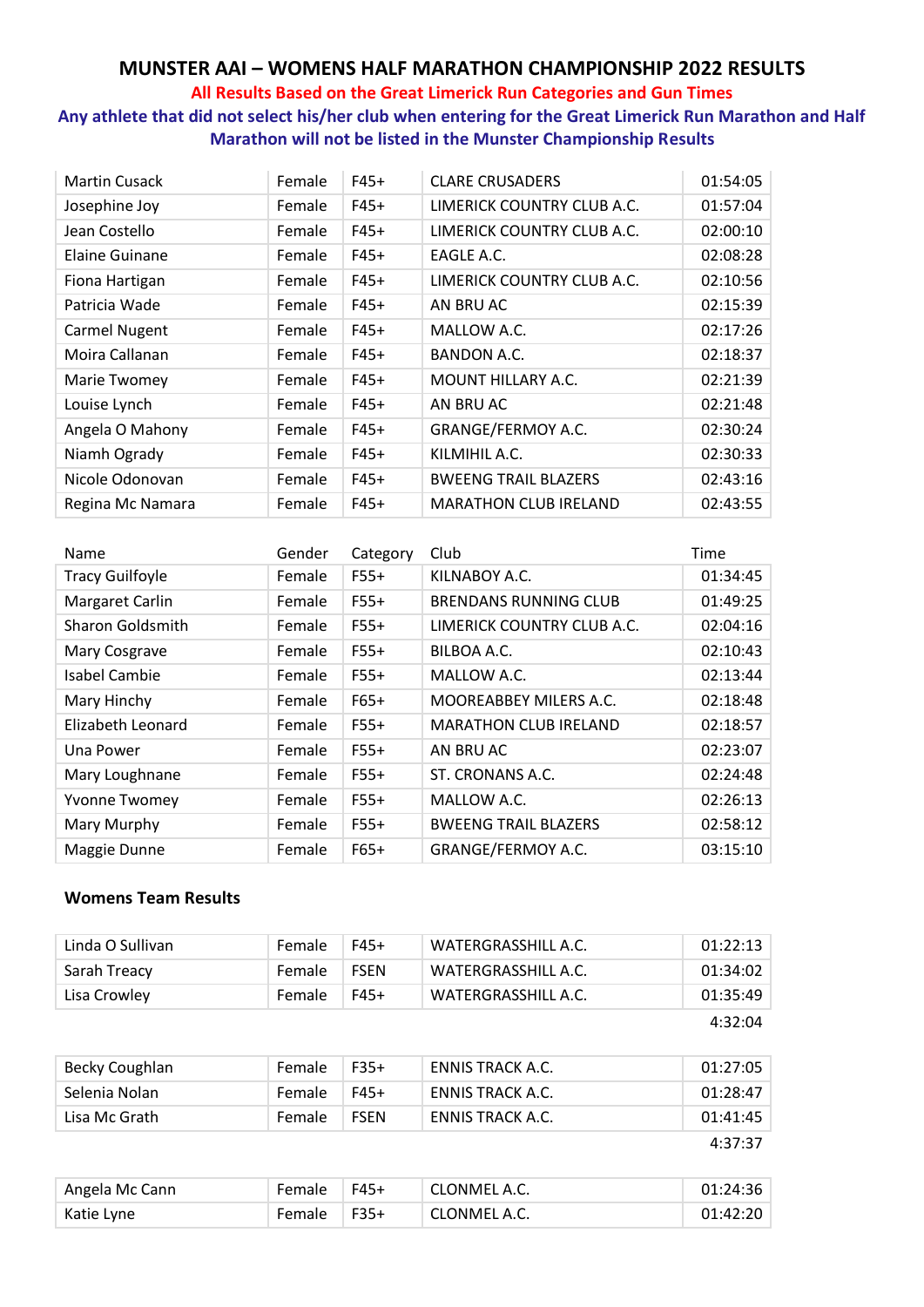# **MUNSTER AAI – WOMENS HALF MARATHON CHAMPIONSHIP 2022 RESULTS**

#### **All Results Based on the Great Limerick Run Categories and Gun Times**

**Any athlete that did not select his/her club when entering for the Great Limerick Run Marathon and Half Marathon will not be listed in the Munster Championship Results**

| <b>Martin Cusack</b>  | Female | $F45+$ | <b>CLARE CRUSADERS</b>       | 01:54:05 |
|-----------------------|--------|--------|------------------------------|----------|
| Josephine Joy         | Female | $F45+$ | LIMERICK COUNTRY CLUB A.C.   | 01:57:04 |
| Jean Costello         | Female | $F45+$ | LIMERICK COUNTRY CLUB A.C.   | 02:00:10 |
| <b>Elaine Guinane</b> | Female | $F45+$ | EAGLE A.C.                   | 02:08:28 |
| Fiona Hartigan        | Female | $F45+$ | LIMERICK COUNTRY CLUB A.C.   | 02:10:56 |
| Patricia Wade         | Female | $F45+$ | AN BRU AC                    | 02:15:39 |
| <b>Carmel Nugent</b>  | Female | $F45+$ | MALLOW A.C.                  | 02:17:26 |
| Moira Callanan        | Female | $F45+$ | <b>BANDON A.C.</b>           | 02:18:37 |
| Marie Twomey          | Female | $F45+$ | MOUNT HILLARY A.C.           | 02:21:39 |
| Louise Lynch          | Female | $F45+$ | AN BRU AC                    | 02:21:48 |
| Angela O Mahony       | Female | $F45+$ | GRANGE/FERMOY A.C.           | 02:30:24 |
| Niamh Ogrady          | Female | $F45+$ | KILMIHIL A.C.                | 02:30:33 |
| Nicole Odonovan       | Female | $F45+$ | <b>BWEENG TRAIL BLAZERS</b>  | 02:43:16 |
| Regina Mc Namara      | Female | $F45+$ | <b>MARATHON CLUB IRELAND</b> | 02:43:55 |

| Name                    | Gender | Category | Club                         | Time     |
|-------------------------|--------|----------|------------------------------|----------|
| <b>Tracy Guilfoyle</b>  | Female | $F55+$   | KILNABOY A.C.                | 01:34:45 |
| Margaret Carlin         | Female | $F55+$   | <b>BRENDANS RUNNING CLUB</b> | 01:49:25 |
| <b>Sharon Goldsmith</b> | Female | $F55+$   | LIMERICK COUNTRY CLUB A.C.   | 02:04:16 |
| Mary Cosgrave           | Female | $F55+$   | BILBOA A.C.                  | 02:10:43 |
| <b>Isabel Cambie</b>    | Female | $F55+$   | MALLOW A.C.                  | 02:13:44 |
| Mary Hinchy             | Female | $F65+$   | MOOREABBEY MILERS A.C.       | 02:18:48 |
| Elizabeth Leonard       | Female | $F55+$   | <b>MARATHON CLUB IRELAND</b> | 02:18:57 |
| Una Power               | Female | $F55+$   | AN BRU AC                    | 02:23:07 |
| Mary Loughnane          | Female | $F55+$   | ST. CRONANS A.C.             | 02:24:48 |
| <b>Yvonne Twomey</b>    | Female | $F55+$   | MALLOW A.C.                  | 02:26:13 |
| Mary Murphy             | Female | $F55+$   | <b>BWEENG TRAIL BLAZERS</b>  | 02:58:12 |
| Maggie Dunne            | Female | $F65+$   | GRANGE/FERMOY A.C.           | 03:15:10 |

#### **Womens Team Results**

| Linda O Sullivan | Female | F45+        | WATERGRASSHILL A.C. | 01:22:13 |
|------------------|--------|-------------|---------------------|----------|
| Sarah Treacy     | Female | <b>FSEN</b> | WATERGRASSHILL A.C. | 01:34:02 |
| Lisa Crowley     | Female | F45+        | WATERGRASSHILL A.C. | 01:35:49 |
|                  |        |             |                     | 4:32:04  |

| Becky Coughlan | Female | $F35+$      | ENNIS TRACK A.C. | 01:27:05 |
|----------------|--------|-------------|------------------|----------|
| Selenia Nolan  | Female | $F45+$      | ENNIS TRACK A.C. | 01:28:47 |
| Lisa Mc Grath  | Female | <b>FSEN</b> | ENNIS TRACK A.C. | 01:41:45 |
|                |        |             |                  | 4:37:37  |

| Angela Mc Cann | Female | $\overline{5}$ F45+ | ' CLONMEL A.C. | 01:24:36 |
|----------------|--------|---------------------|----------------|----------|
| Katie Lyne     | Female | $\overline{5}$ F35+ | CLONMEL A.C.   | 01:42:20 |